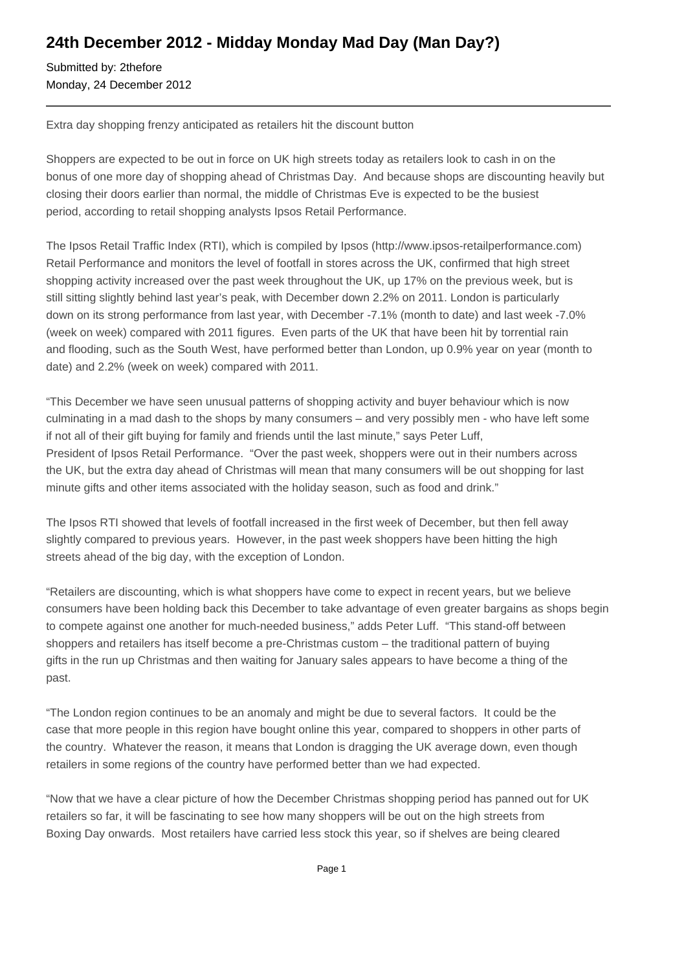## **24th December 2012 - Midday Monday Mad Day (Man Day?)**

Submitted by: 2thefore Monday, 24 December 2012

Extra day shopping frenzy anticipated as retailers hit the discount button

Shoppers are expected to be out in force on UK high streets today as retailers look to cash in on the bonus of one more day of shopping ahead of Christmas Day. And because shops are discounting heavily but closing their doors earlier than normal, the middle of Christmas Eve is expected to be the busiest period, according to retail shopping analysts Ipsos Retail Performance.

The Ipsos Retail Traffic Index (RTI), which is compiled by Ipsos (http://www.ipsos-retailperformance.com) Retail Performance and monitors the level of footfall in stores across the UK, confirmed that high street shopping activity increased over the past week throughout the UK, up 17% on the previous week, but is still sitting slightly behind last year's peak, with December down 2.2% on 2011. London is particularly down on its strong performance from last year, with December -7.1% (month to date) and last week -7.0% (week on week) compared with 2011 figures. Even parts of the UK that have been hit by torrential rain and flooding, such as the South West, have performed better than London, up 0.9% year on year (month to date) and 2.2% (week on week) compared with 2011.

"This December we have seen unusual patterns of shopping activity and buyer behaviour which is now culminating in a mad dash to the shops by many consumers – and very possibly men - who have left some if not all of their gift buying for family and friends until the last minute," says Peter Luff, President of Ipsos Retail Performance. "Over the past week, shoppers were out in their numbers across the UK, but the extra day ahead of Christmas will mean that many consumers will be out shopping for last minute gifts and other items associated with the holiday season, such as food and drink."

The Ipsos RTI showed that levels of footfall increased in the first week of December, but then fell away slightly compared to previous years. However, in the past week shoppers have been hitting the high streets ahead of the big day, with the exception of London.

"Retailers are discounting, which is what shoppers have come to expect in recent years, but we believe consumers have been holding back this December to take advantage of even greater bargains as shops begin to compete against one another for much-needed business," adds Peter Luff. "This stand-off between shoppers and retailers has itself become a pre-Christmas custom – the traditional pattern of buying gifts in the run up Christmas and then waiting for January sales appears to have become a thing of the past.

"The London region continues to be an anomaly and might be due to several factors. It could be the case that more people in this region have bought online this year, compared to shoppers in other parts of the country. Whatever the reason, it means that London is dragging the UK average down, even though retailers in some regions of the country have performed better than we had expected.

"Now that we have a clear picture of how the December Christmas shopping period has panned out for UK retailers so far, it will be fascinating to see how many shoppers will be out on the high streets from Boxing Day onwards. Most retailers have carried less stock this year, so if shelves are being cleared